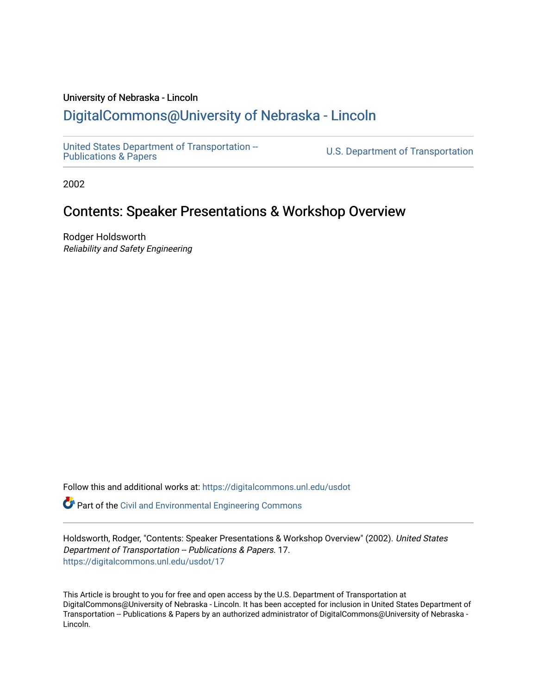### University of Nebraska - Lincoln

### [DigitalCommons@University of Nebraska - Lincoln](https://digitalcommons.unl.edu/)

[United States Department of Transportation --](https://digitalcommons.unl.edu/usdot)<br>Publications & Papers

U.S. Department of Transportation

2002

### Contents: Speaker Presentations & Workshop Overview

Rodger Holdsworth Reliability and Safety Engineering

Follow this and additional works at: [https://digitalcommons.unl.edu/usdot](https://digitalcommons.unl.edu/usdot?utm_source=digitalcommons.unl.edu%2Fusdot%2F17&utm_medium=PDF&utm_campaign=PDFCoverPages) 

**P** Part of the [Civil and Environmental Engineering Commons](http://network.bepress.com/hgg/discipline/251?utm_source=digitalcommons.unl.edu%2Fusdot%2F17&utm_medium=PDF&utm_campaign=PDFCoverPages)

Holdsworth, Rodger, "Contents: Speaker Presentations & Workshop Overview" (2002). United States Department of Transportation -- Publications & Papers. 17. [https://digitalcommons.unl.edu/usdot/17](https://digitalcommons.unl.edu/usdot/17?utm_source=digitalcommons.unl.edu%2Fusdot%2F17&utm_medium=PDF&utm_campaign=PDFCoverPages)

This Article is brought to you for free and open access by the U.S. Department of Transportation at DigitalCommons@University of Nebraska - Lincoln. It has been accepted for inclusion in United States Department of Transportation -- Publications & Papers by an authorized administrator of DigitalCommons@University of Nebraska -Lincoln.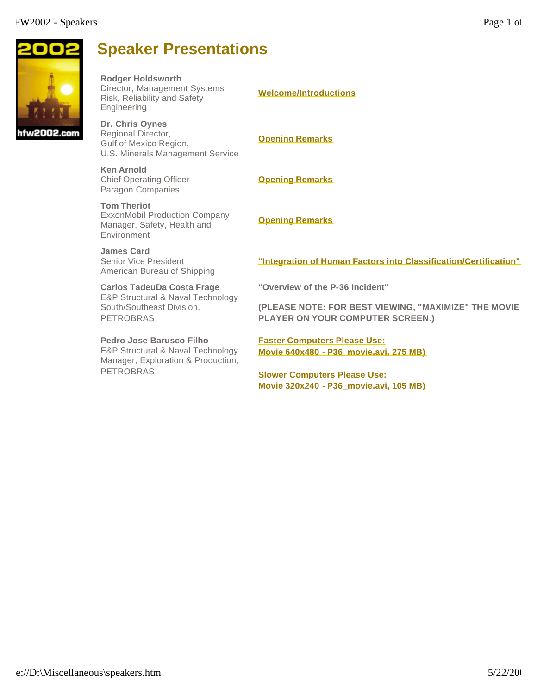|  | <b>Speaker Presentations</b>                                                                                                   |                                                                                                 |
|--|--------------------------------------------------------------------------------------------------------------------------------|-------------------------------------------------------------------------------------------------|
|  | <b>Rodger Holdsworth</b><br>Director, Management Systems<br>Risk, Reliability and Safety<br>Engineering                        | <b>Welcome/Introductions</b>                                                                    |
|  | Dr. Chris Oynes<br>Regional Director,<br>Gulf of Mexico Region,<br>U.S. Minerals Management Service                            | <b>Opening Remarks</b>                                                                          |
|  | <b>Ken Arnold</b><br><b>Chief Operating Officer</b><br>Paragon Companies                                                       | <b>Opening Remarks</b>                                                                          |
|  | <b>Tom Theriot</b><br><b>ExxonMobil Production Company</b><br>Manager, Safety, Health and<br>Environment                       | <b>Opening Remarks</b>                                                                          |
|  | <b>James Card</b><br><b>Senior Vice President</b><br>American Bureau of Shipping                                               | "Integration of Human Factors into Classification/Certification"                                |
|  | <b>Carlos TadeuDa Costa Frage</b><br>E&P Structural & Naval Technology<br>South/Southeast Division,<br><b>PETROBRAS</b>        | "Overview of the P-36 Incident"                                                                 |
|  |                                                                                                                                | (PLEASE NOTE: FOR BEST VIEWING, "MAXIMIZE" THE MOVIE<br><b>PLAYER ON YOUR COMPUTER SCREEN.)</b> |
|  | <b>Pedro Jose Barusco Filho</b><br>E&P Structural & Naval Technology<br>Manager, Exploration & Production,<br><b>PETROBRAS</b> | <b>Faster Computers Please Use:</b><br>Movie 640x480 - P36 movie.avi, 275 MB)                   |
|  |                                                                                                                                | <b>Slower Computers Please Use:</b><br>Movie 320x240 - P36 movie.avi, 105 MB)                   |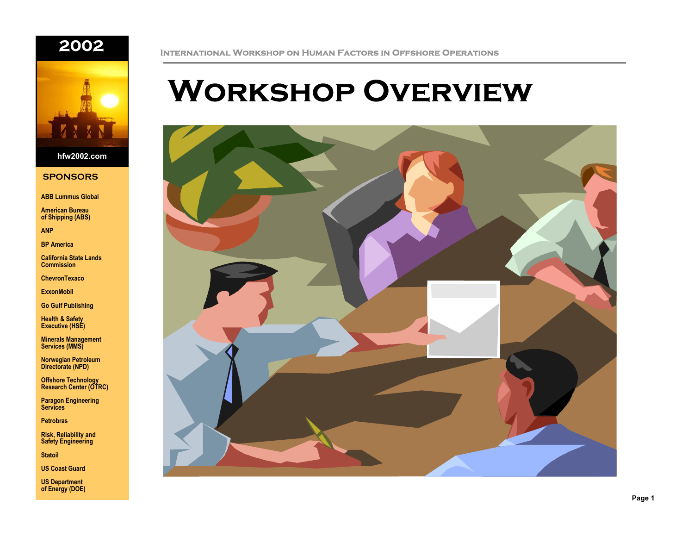



#### **SPONSORS**

**ABB Lummus Global**

**American Bureau of Shipping (ABS)**

**ANP**

**BP America**

**California State Lands Commission**

**ChevronTexaco**

**ExxonMobil**

**Go Gulf Publishing**

**Health & Safety Executive (HSE)**

**Minerals Management Services (MMS)**

**Norwegian Petroleum Directorate (NPD)**

**Offshore Technology Research Center (OTRC)**

**Paragon Engineering Services**

**Petrobras**

**Risk, Reliability and Safety Engineering**

**Statoil**

**US Coast Guard**

**US Department of Energy (DOE)**

### **International Workshop on Human Factors in Offshore Operations**

### **Workshop Overview**

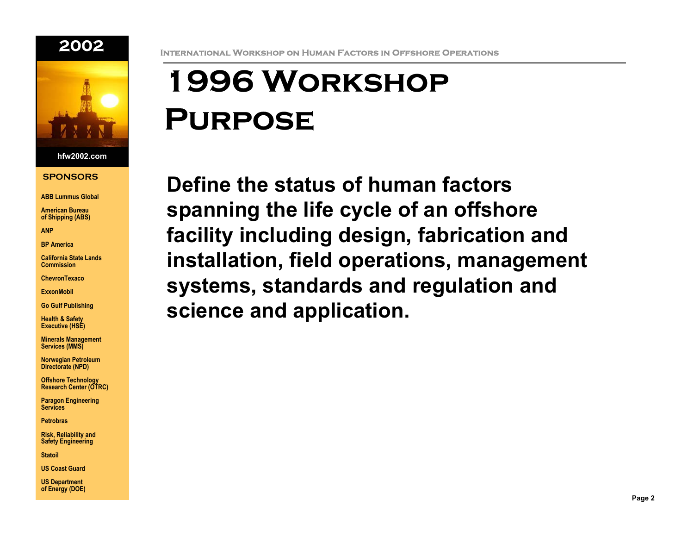



#### **SPONSORS**

**ABB Lummus Global**

**American Bureau of Shipping (ABS)**

**ANPBP America**

**California State Lands Commission**

**ChevronTexaco**

**ExxonMobil**

**Go Gulf Publishing**

**Health & Safety Executive (HSE)**

**Minerals Management Services (MMS)**

**Norwegian Petroleum Directorate (NPD)**

**Offshore Technology Research Center (OTRC)**

**Paragon Engineering Services**

**Petrobras**

**Risk, Reliability and Safety Engineering**

**Statoil**

**US Coast Guard**

**US Department of Energy (DOE)**

# **1996 Workshop Purpose**

**Define the status of human factors spanning the life cycle of an offshore facility including design, fabrication and installation, field operations, management systems, standards and regulation and science and application.**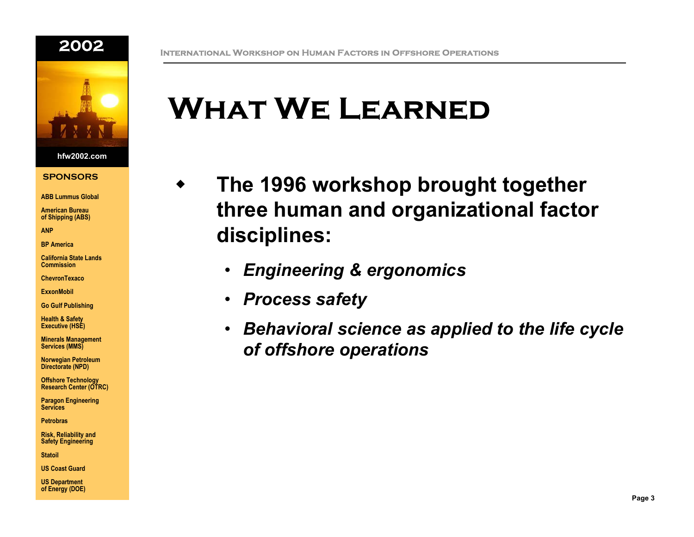



♦

#### **SPONSORS**

**ABB Lummus Global**

**American Bureau of Shipping (ABS)**

**ANP**

**BP America**

**California State Lands Commission**

**ChevronTexaco**

**ExxonMobil**

**Go Gulf Publishing**

**Health & Safety Executive (HSE)**

**Minerals Management Services (MMS)**

**Norwegian Petroleum Directorate (NPD)**

**Offshore Technology Research Center (OTRC)**

**Paragon Engineering Services**

**Petrobras**

**Risk, Reliability and Safety Engineering**

**Statoil**

**US Coast Guard**

**US Department of Energy (DOE)**

### **What We Learned**

**International Workshop on Human Factors in Offshore Operations**

- **The 1996 workshop brought together three human and organizational factor disciplines:** 
	- •*Engineering & ergonomics*
	- •*Process safety*
	- • *Behavioral science as applied to the life cycle of offshore operations*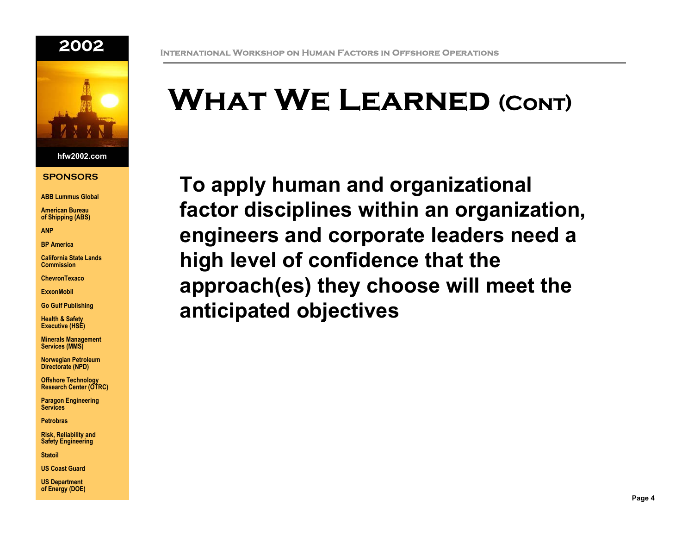



#### **SPONSORS**

**ABB Lummus Global**

**American Bureau of Shipping (ABS)**

**ANP**

**BP America**

**California State Lands Commission**

**ChevronTexaco**

**ExxonMobil**

**Go Gulf Publishing**

**Health & Safety Executive (HSE)**

**Minerals Management Services (MMS)**

**Norwegian Petroleum Directorate (NPD)**

**Offshore Technology Research Center (OTRC)**

**Paragon Engineering Services**

**Petrobras**

**Risk, Reliability and Safety Engineering**

**Statoil**

**US Coast Guard**

**US Department of Energy (DOE)**

### **WHAT WE LEARNED (CONT)**

**To apply human and organizational factor disciplines within an organization, engineers and corporate leaders need a high level of confidence that the approach(es) they choose will meet the anticipated objectives**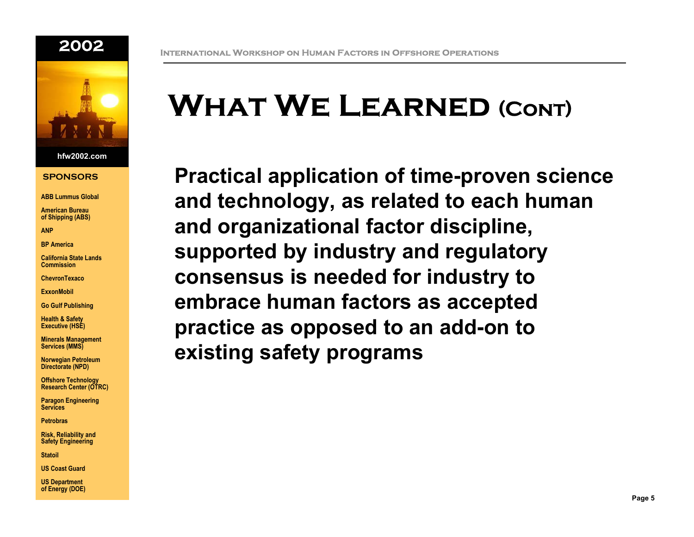



#### **SPONSORS**

**ABB Lummus Global**

**American Bureau of Shipping (ABS)**

**ANP**

**BP America**

**California State Lands Commission**

**ChevronTexaco**

**ExxonMobil**

**Go Gulf Publishing**

**Health & Safety Executive (HSE)**

**Minerals Management Services (MMS)**

**Norwegian Petroleum Directorate (NPD)**

**Offshore Technology Research Center (OTRC)**

**Paragon Engineering Services**

**Petrobras**

**Risk, Reliability and Safety Engineering**

**Statoil**

**US Coast Guard**

**US Department of Energy (DOE)**

### **International Workshop on Human Factors in Offshore Operations**

### **WHAT WE LEARNED (CONT)**

**Practical application of time-proven science and technology, as related to each human and organizational factor discipline, supported by industry and regulatory consensus is needed for industry to embrace human factors as accepted practice as opposed to an add-on to existing safety programs**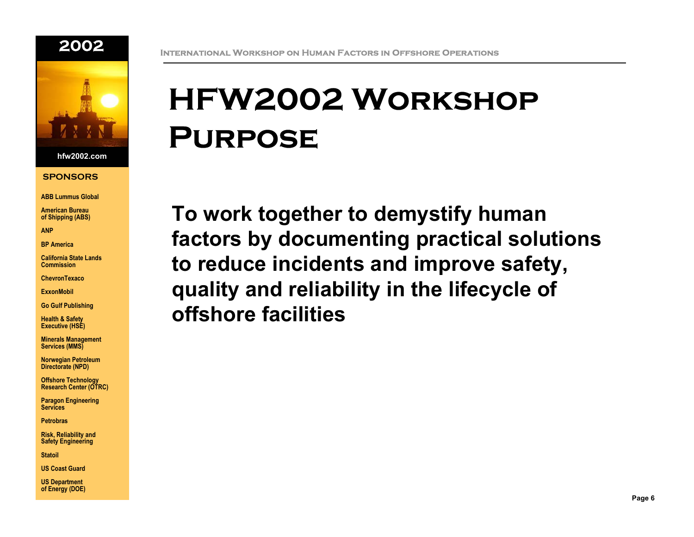



#### **SPONSORS**

**ABB Lummus Global**

**American Bureau of Shipping (ABS)**

**ANPBP America**

**California State Lands Commission**

**ChevronTexaco**

**ExxonMobil**

**Go Gulf Publishing**

**Health & Safety Executive (HSE)**

**Minerals Management Services (MMS)**

**Norwegian Petroleum Directorate (NPD)**

**Offshore Technology Research Center (OTRC)**

**Paragon Engineering Services**

**Petrobras**

**Risk, Reliability and Safety Engineering**

**Statoil**

**US Coast Guard**

**US Department of Energy (DOE)**

# **HFW2002 Workshop Purpose**

**To work together to demystify human factors by documenting practical solutions to reduce incidents and improve safety, quality and reliability in the lifecycle of offshore facilities**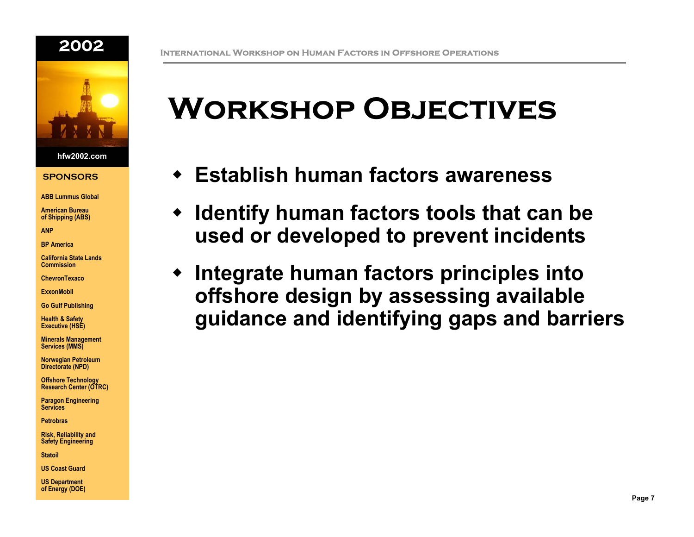



### **SPONSORS**

**ABB Lummus Global**

**American Bureau of Shipping (ABS)**

**ANP**

**BP America**

**California State Lands Commission**

**ChevronTexaco**

**ExxonMobil**

**Go Gulf Publishing**

**Health & Safety Executive (HSE)**

**Minerals Management Services (MMS)**

**Norwegian Petroleum Directorate (NPD)**

**Offshore Technology Research Center (OTRC)**

**Paragon Engineering Services**

**Petrobras**

**Risk, Reliability and Safety Engineering**

**Statoil**

**US Coast Guard**

**US Department of Energy (DOE)**

### **International Workshop on Human Factors in Offshore Operations**

## **Workshop Objectives**

- **Establish human factors awareness**
- **Identify human factors tools that can be used or developed to prevent incidents**
- ♦ **Integrate human factors principles into offshore design by assessing available guidance and identifying gaps and barriers**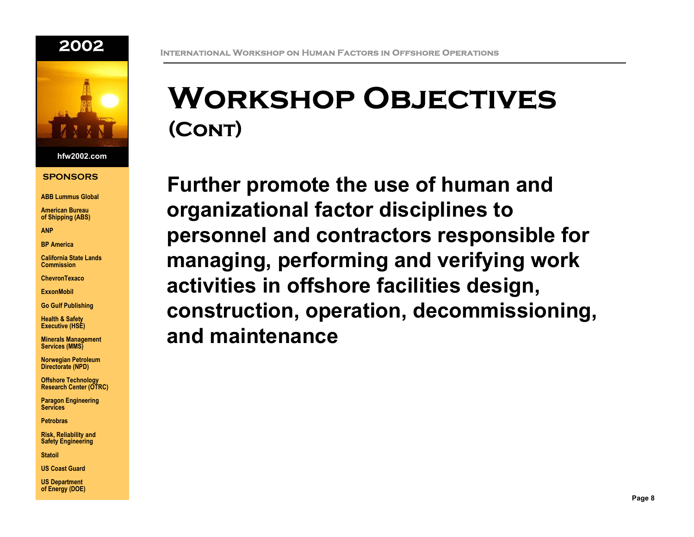



#### **SPONSORS**

**ABB Lummus Global**

**American Bureau of Shipping (ABS)**

**BP America**

**ANP**

**California State Lands Commission**

**ChevronTexaco**

**ExxonMobil**

**Go Gulf Publishing**

**Health & Safety Executive (HSE)**

**Minerals Management Services (MMS)**

**Norwegian Petroleum Directorate (NPD)**

**Offshore Technology Research Center (OTRC)**

**Paragon Engineering Services**

**Petrobras**

**Risk, Reliability and Safety Engineering**

**Statoil**

**US Coast Guard**

**US Department of Energy (DOE)**

### **Workshop Objectives (Cont)**

**Further promote the use of human and organizational factor disciplines to personnel and contractors responsible for managing, performing and verifying work activities in offshore facilities design, construction, operation, decommissioning, and maintenance**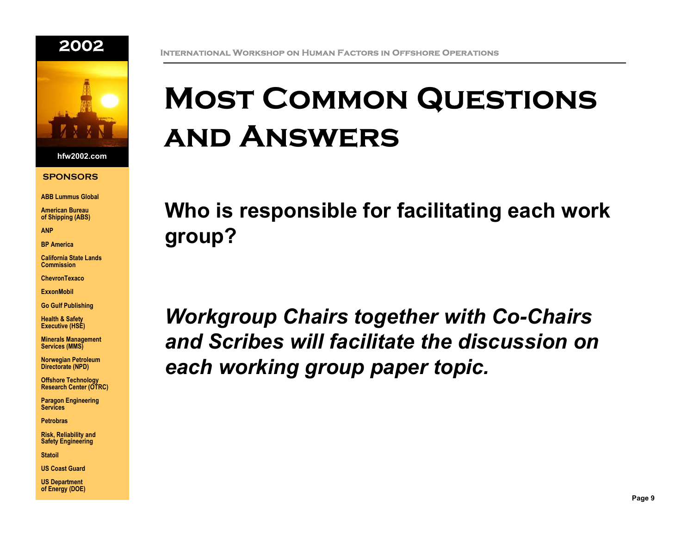



#### **SPONSORS**

**ABB Lummus Global**

**American Bureau of Shipping (ABS)**

**ANPBP America**

**California State Lands Commission**

**ChevronTexaco**

**ExxonMobil**

**Go Gulf Publishing**

**Health & Safety Executive (HSE)**

**Minerals Management Services (MMS)**

**Norwegian Petroleum Directorate (NPD)**

**Offshore Technology Research Center (OTRC)**

**Paragon Engineering Services**

**Petrobras**

**Risk, Reliability and Safety Engineering**

**Statoil**

**US Coast Guard**

**US Department of Energy (DOE)**

# **Most Common Questions and Answers**

**Who is responsible for facilitating each work group?**

*Workgroup Chairs together with Co-Chairs and Scribes will facilitate the discussion on each working group paper topic.*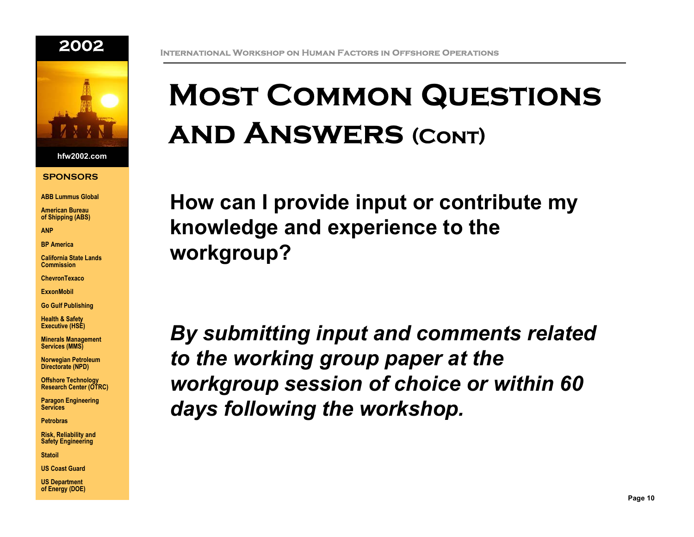



#### **SPONSORS**

**ABB Lummus Global**

**American Bureau of Shipping (ABS)**

**ANP**

**BP America**

**California State Lands Commission**

**ChevronTexaco**

**ExxonMobil**

**Go Gulf Publishing**

**Health & Safety Executive (HSE)**

**Minerals Management Services (MMS)**

**Norwegian Petroleum Directorate (NPD)**

**Offshore Technology Research Center (OTRC)**

**Paragon Engineering Services**

**Petrobras**

**Risk, Reliability and Safety Engineering**

**Statoil**

**US Coast Guard**

**US Department of Energy (DOE)**

#### **International Workshop on Human Factors in Offshore Operations**

## **Most Common Questions and Answers (Cont)**

**How can I provide input or contribute my knowledge and experience to the workgroup?**

*By submitting input and comments related to the working group paper at the workgroup session of choice or within 60 days following the workshop.*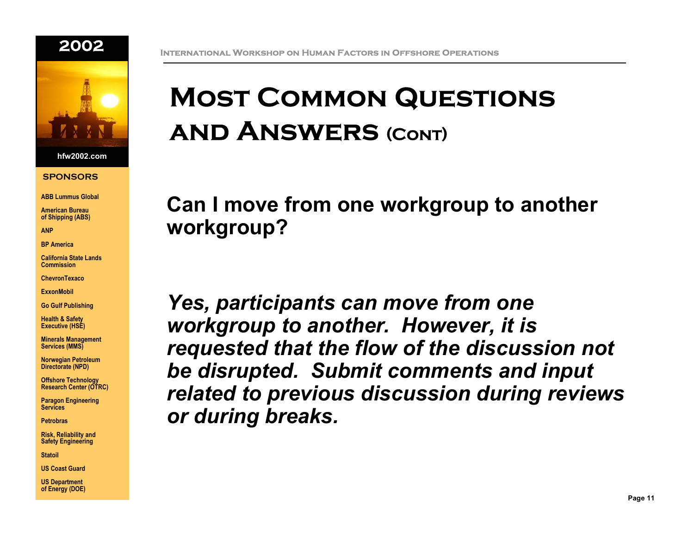



#### **SPONSORS**

**ABB Lummus Global**

**American Bureau of Shipping (ABS)**

**ANP**

**BP America**

**California State Lands Commission**

**ChevronTexaco**

**ExxonMobil**

**Go Gulf Publishing**

**Health & Safety Executive (HSE)**

**Minerals Management Services (MMS)**

**Norwegian Petroleum Directorate (NPD)**

**Offshore Technology Research Center (OTRC)**

**Paragon Engineering Services**

**Petrobras**

**Risk, Reliability and Safety Engineering**

**Statoil**

**US Coast Guard**

**US Department of Energy (DOE)**

### **Most Common Questions and Answers (Cont)**

**Can I move from one workgroup to another workgroup?**

*Yes, participants can move from one workgroup to another. However, it is requested that the flow of the discussion not be disrupted. Submit comments and input related to previous discussion during reviews or during breaks.*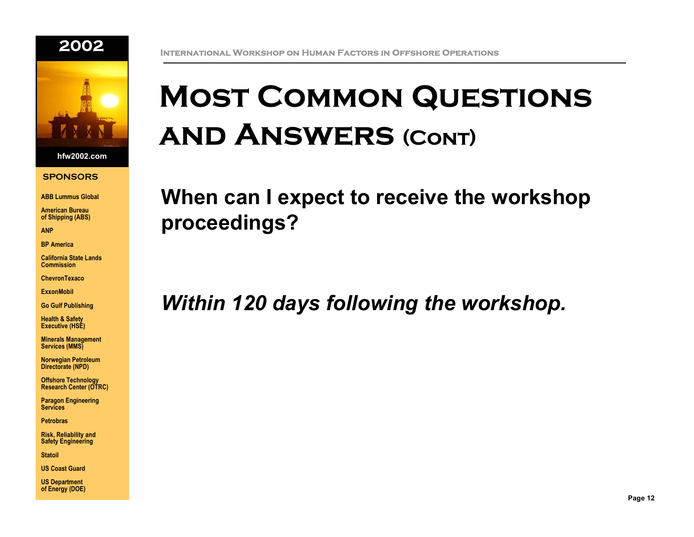



#### **SPONSORS**

**ABB Lummus Global**

**American Bureau of Shipping (ABS)**

**ANP**

**BP America**

**California State Lands Commission**

**ChevronTexaco**

**ExxonMobil**

**Go Gulf Publishing**

**Health & Safety Executive (HSE)**

**Minerals Management Services (MMS)**

**Norwegian Petroleum Directorate (NPD)**

**Offshore Technology Research Center (OTRC)**

**Paragon Engineering Services**

**Petrobras**

**Risk, Reliability and Safety Engineering**

**Statoil**

**US Coast Guard**

**US Department of Energy (DOE)**

## **Most Common Questions and Answers (Cont)**

### **When can I expect to receive the workshop proceedings?**

### *Within 120 days following the workshop.*